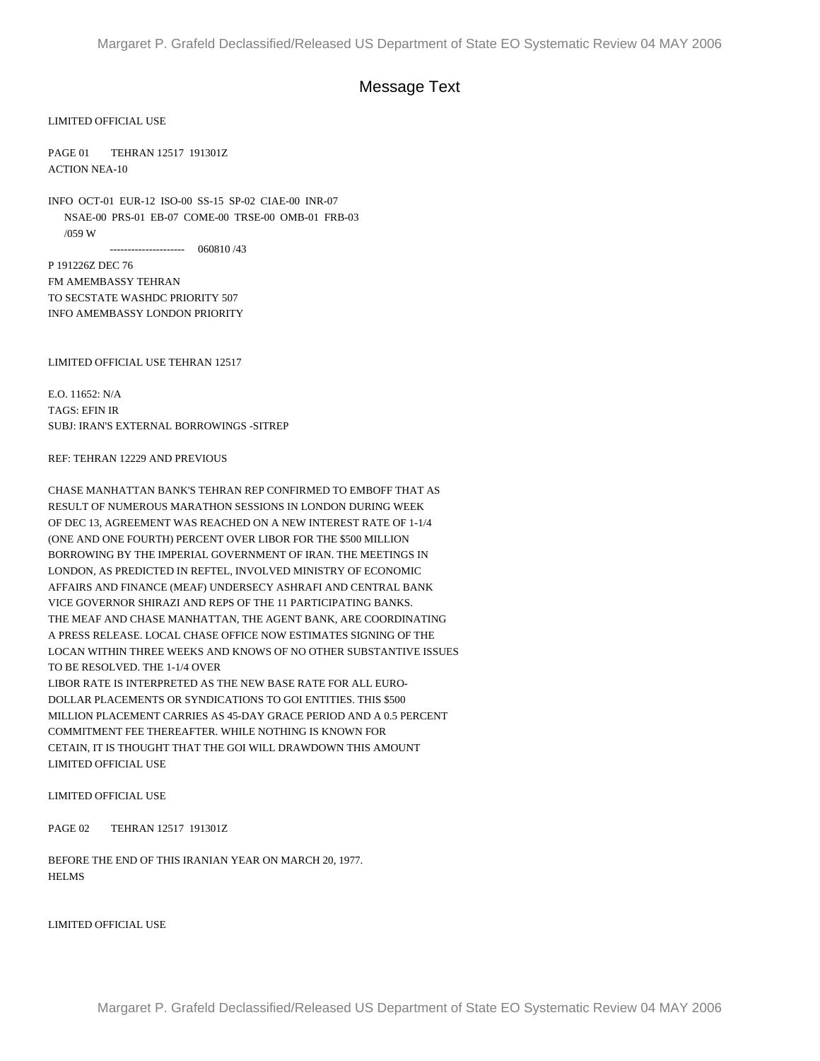## Message Text

LIMITED OFFICIAL USE

PAGE 01 TEHRAN 12517 191301Z ACTION NEA-10

INFO OCT-01 EUR-12 ISO-00 SS-15 SP-02 CIAE-00 INR-07 NSAE-00 PRS-01 EB-07 COME-00 TRSE-00 OMB-01 FRB-03 /059 W --------------------- 060810 /43

P 191226Z DEC 76 FM AMEMBASSY TEHRAN TO SECSTATE WASHDC PRIORITY 507 INFO AMEMBASSY LONDON PRIORITY

LIMITED OFFICIAL USE TEHRAN 12517

E.O. 11652: N/A TAGS: EFIN IR SUBJ: IRAN'S EXTERNAL BORROWINGS -SITREP

## REF: TEHRAN 12229 AND PREVIOUS

CHASE MANHATTAN BANK'S TEHRAN REP CONFIRMED TO EMBOFF THAT AS RESULT OF NUMEROUS MARATHON SESSIONS IN LONDON DURING WEEK OF DEC 13, AGREEMENT WAS REACHED ON A NEW INTEREST RATE OF 1-1/4 (ONE AND ONE FOURTH) PERCENT OVER LIBOR FOR THE \$500 MILLION BORROWING BY THE IMPERIAL GOVERNMENT OF IRAN. THE MEETINGS IN LONDON, AS PREDICTED IN REFTEL, INVOLVED MINISTRY OF ECONOMIC AFFAIRS AND FINANCE (MEAF) UNDERSECY ASHRAFI AND CENTRAL BANK VICE GOVERNOR SHIRAZI AND REPS OF THE 11 PARTICIPATING BANKS. THE MEAF AND CHASE MANHATTAN, THE AGENT BANK, ARE COORDINATING A PRESS RELEASE. LOCAL CHASE OFFICE NOW ESTIMATES SIGNING OF THE LOCAN WITHIN THREE WEEKS AND KNOWS OF NO OTHER SUBSTANTIVE ISSUES TO BE RESOLVED. THE 1-1/4 OVER

LIBOR RATE IS INTERPRETED AS THE NEW BASE RATE FOR ALL EURO-DOLLAR PLACEMENTS OR SYNDICATIONS TO GOI ENTITIES. THIS \$500 MILLION PLACEMENT CARRIES AS 45-DAY GRACE PERIOD AND A 0.5 PERCENT COMMITMENT FEE THEREAFTER. WHILE NOTHING IS KNOWN FOR CETAIN, IT IS THOUGHT THAT THE GOI WILL DRAWDOWN THIS AMOUNT LIMITED OFFICIAL USE

## LIMITED OFFICIAL USE

PAGE 02 TEHRAN 12517 191301Z

BEFORE THE END OF THIS IRANIAN YEAR ON MARCH 20, 1977. **HELMS** 

LIMITED OFFICIAL USE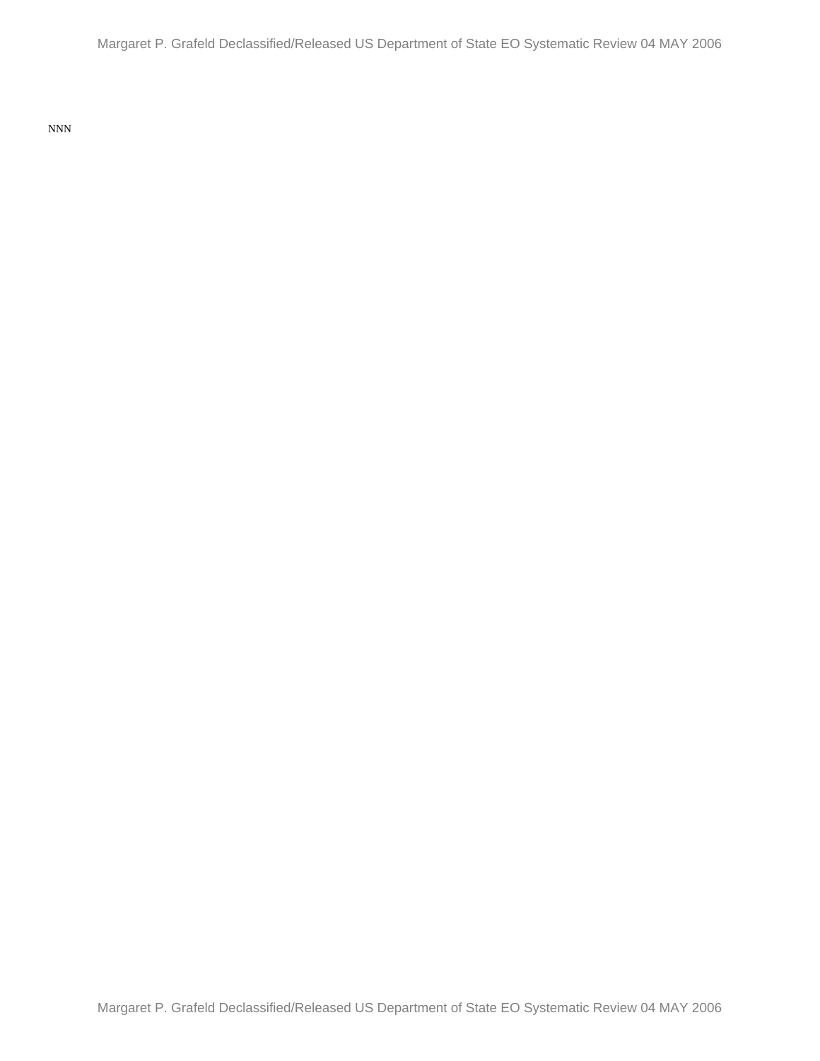NNN